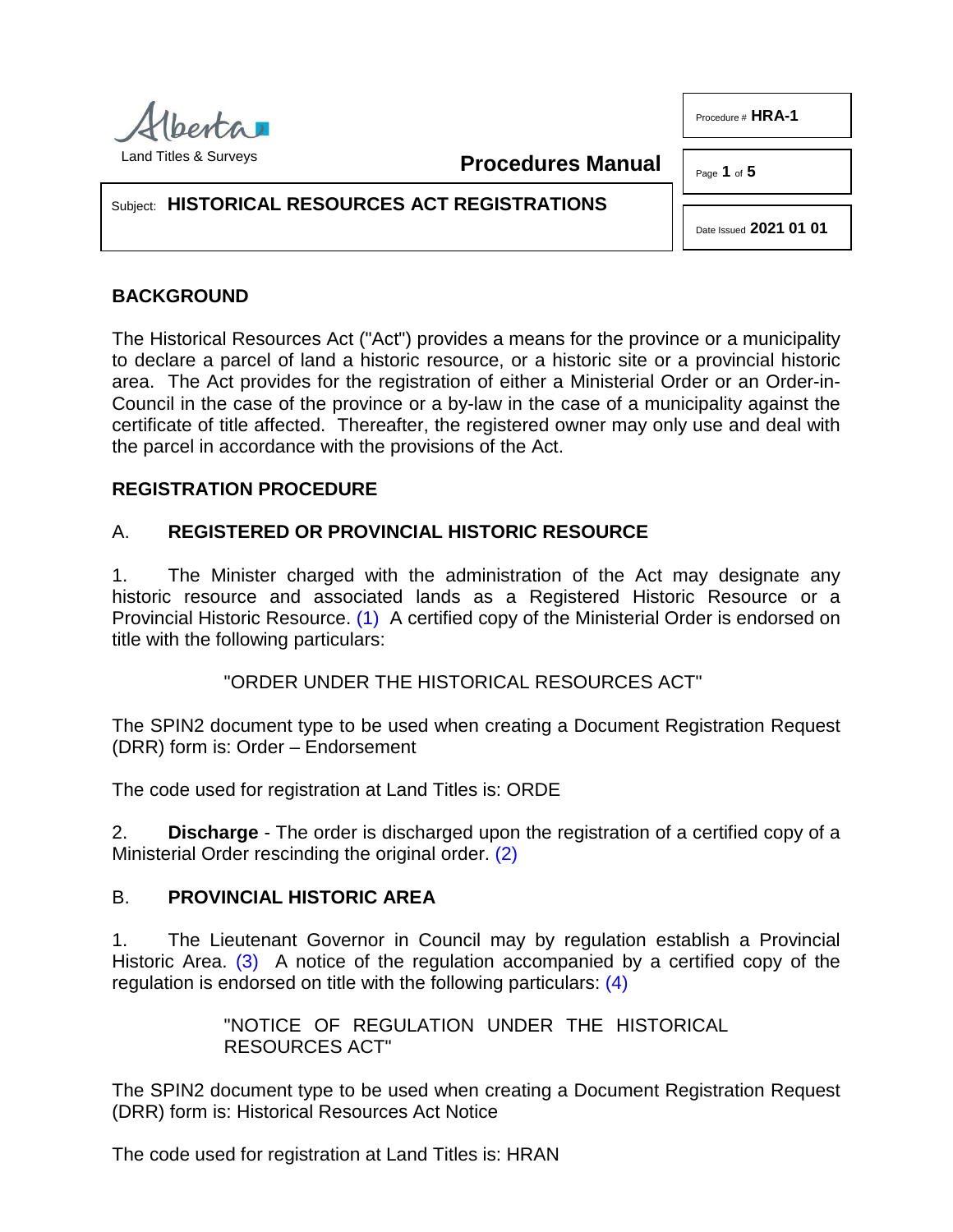

**Procedures Manual**

Page **1** of **5**

Procedure # **HRA-1**

## Subject: **HISTORICAL RESOURCES ACT REGISTRATIONS**

Date Issued **2021 01 01**

# **BACKGROUND**

The Historical Resources Act ("Act") provides a means for the province or a municipality to declare a parcel of land a historic resource, or a historic site or a provincial historic area. The Act provides for the registration of either a Ministerial Order or an Order-in-Council in the case of the province or a by-law in the case of a municipality against the certificate of title affected. Thereafter, the registered owner may only use and deal with the parcel in accordance with the provisions of the Act.

### **REGISTRATION PROCEDURE**

# A. **REGISTERED OR PROVINCIAL HISTORIC RESOURCE**

1. The Minister charged with the administration of the Act may designate any historic resource and associated lands as a Registered Historic Resource or a Provincial Historic Resource. [\(1\)](#page-4-0) A certified copy of the Ministerial Order is endorsed on title with the following particulars:

<span id="page-0-0"></span>"ORDER UNDER THE HISTORICAL RESOURCES ACT"

The SPIN2 document type to be used when creating a Document Registration Request (DRR) form is: Order – Endorsement

The code used for registration at Land Titles is: ORDE

2. **Discharge** - The order is discharged upon the registration of a certified copy of a Ministerial Order rescinding the original order. [\(2\)](#page-4-1)

### B. **PROVINCIAL HISTORIC AREA**

1. The Lieutenant Governor in Council may by regulation establish a Provincial Historic Area. [\(3\)](#page-4-2) A notice of the regulation accompanied by a certified copy of the regulation is endorsed on title with the following particulars: [\(4\)](#page-4-3)

> <span id="page-0-3"></span><span id="page-0-2"></span><span id="page-0-1"></span>"NOTICE OF REGULATION UNDER THE HISTORICAL RESOURCES ACT"

The SPIN2 document type to be used when creating a Document Registration Request (DRR) form is: Historical Resources Act Notice

The code used for registration at Land Titles is: HRAN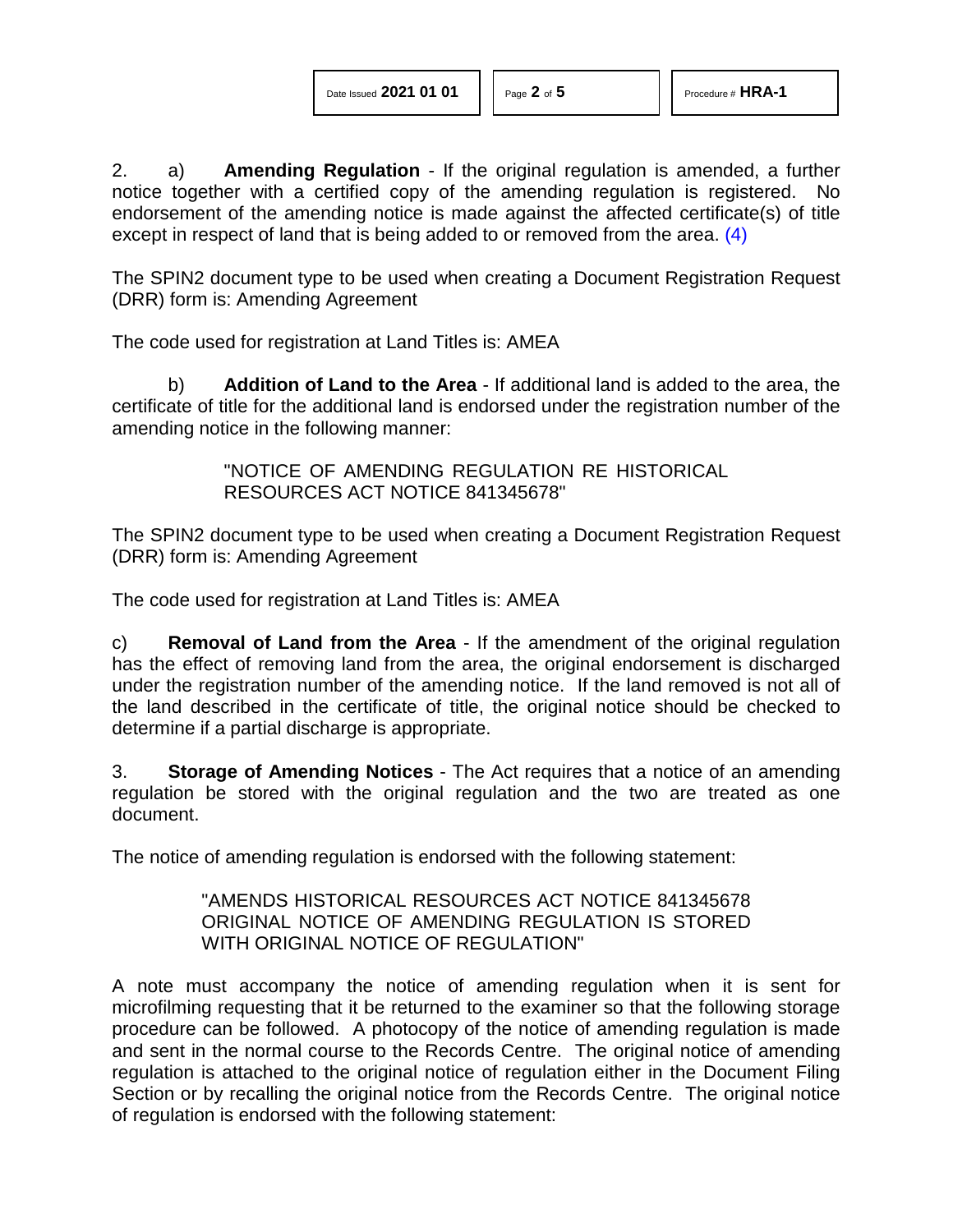2. a) **Amending Regulation** - If the original regulation is amended, a further notice together with a certified copy of the amending regulation is registered. No endorsement of the amending notice is made against the affected certificate(s) of title except in respect of land that is being added to or removed from the area. [\(4\)](#page-4-3)

The SPIN2 document type to be used when creating a Document Registration Request (DRR) form is: Amending Agreement

The code used for registration at Land Titles is: AMEA

b) **Addition of Land to the Area** - If additional land is added to the area, the certificate of title for the additional land is endorsed under the registration number of the amending notice in the following manner:

> "NOTICE OF AMENDING REGULATION RE HISTORICAL RESOURCES ACT NOTICE 841345678"

The SPIN2 document type to be used when creating a Document Registration Request (DRR) form is: Amending Agreement

The code used for registration at Land Titles is: AMEA

c) **Removal of Land from the Area** - If the amendment of the original regulation has the effect of removing land from the area, the original endorsement is discharged under the registration number of the amending notice. If the land removed is not all of the land described in the certificate of title, the original notice should be checked to determine if a partial discharge is appropriate.

3. **Storage of Amending Notices** - The Act requires that a notice of an amending regulation be stored with the original regulation and the two are treated as one document.

The notice of amending regulation is endorsed with the following statement:

"AMENDS HISTORICAL RESOURCES ACT NOTICE 841345678 ORIGINAL NOTICE OF AMENDING REGULATION IS STORED WITH ORIGINAL NOTICE OF REGULATION"

A note must accompany the notice of amending regulation when it is sent for microfilming requesting that it be returned to the examiner so that the following storage procedure can be followed. A photocopy of the notice of amending regulation is made and sent in the normal course to the Records Centre. The original notice of amending regulation is attached to the original notice of regulation either in the Document Filing Section or by recalling the original notice from the Records Centre. The original notice of regulation is endorsed with the following statement: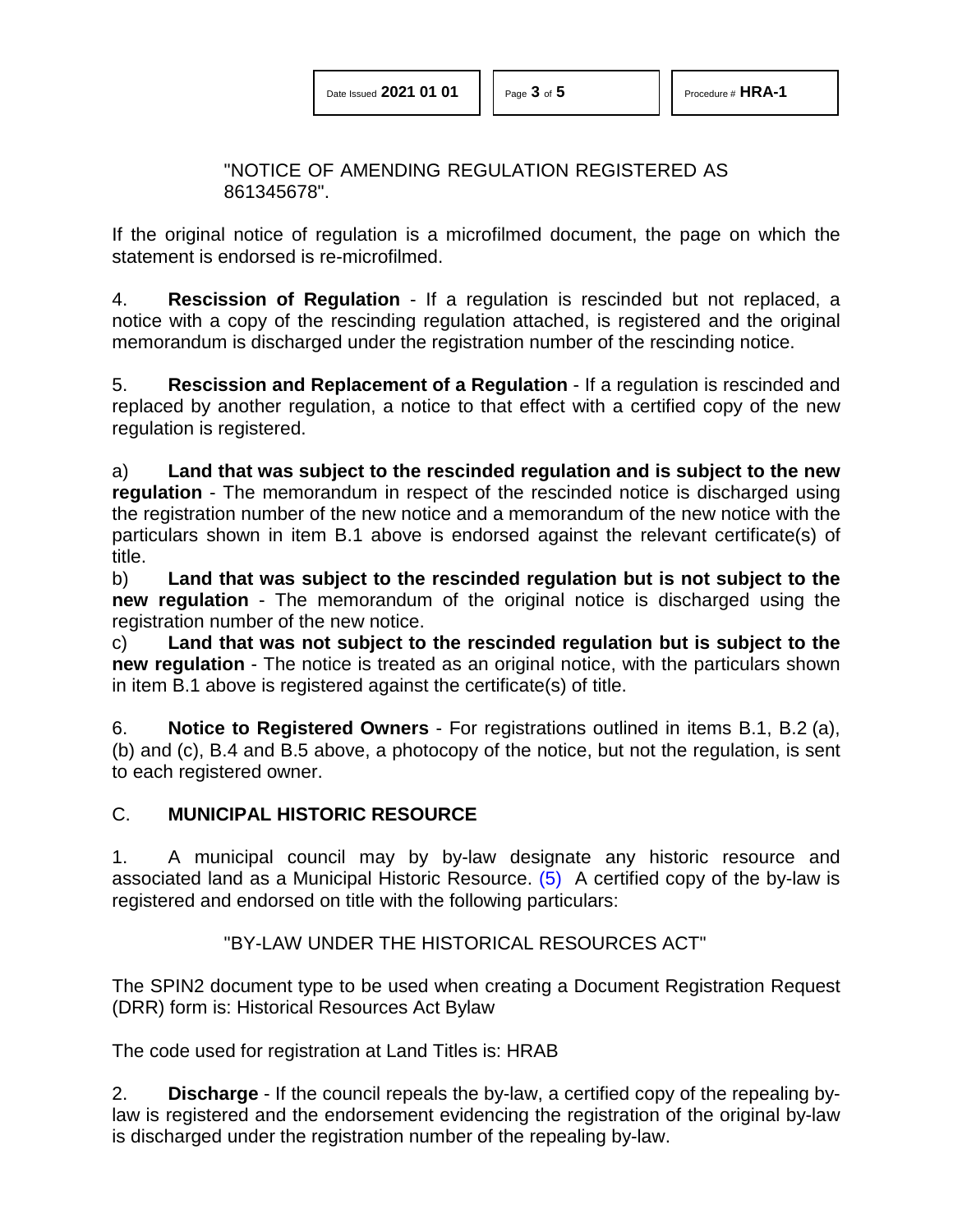"NOTICE OF AMENDING REGULATION REGISTERED AS 861345678".

If the original notice of regulation is a microfilmed document, the page on which the statement is endorsed is re-microfilmed.

4. **Rescission of Regulation** - If a regulation is rescinded but not replaced, a notice with a copy of the rescinding regulation attached, is registered and the original memorandum is discharged under the registration number of the rescinding notice.

5. **Rescission and Replacement of a Regulation** - If a regulation is rescinded and replaced by another regulation, a notice to that effect with a certified copy of the new regulation is registered.

a) **Land that was subject to the rescinded regulation and is subject to the new regulation** - The memorandum in respect of the rescinded notice is discharged using the registration number of the new notice and a memorandum of the new notice with the particulars shown in item B.1 above is endorsed against the relevant certificate(s) of title.

b) **Land that was subject to the rescinded regulation but is not subject to the new regulation** - The memorandum of the original notice is discharged using the registration number of the new notice.

c) **Land that was not subject to the rescinded regulation but is subject to the new regulation** - The notice is treated as an original notice, with the particulars shown in item B.1 above is registered against the certificate(s) of title.

6. **Notice to Registered Owners** - For registrations outlined in items B.1, B.2 (a), (b) and (c), B.4 and B.5 above, a photocopy of the notice, but not the regulation, is sent to each registered owner.

### C. **MUNICIPAL HISTORIC RESOURCE**

1. A municipal council may by by-law designate any historic resource and associated land as a Municipal Historic Resource. [\(5\)](#page-4-4) A certified copy of the by-law is registered and endorsed on title with the following particulars:

#### <span id="page-2-0"></span>"BY-LAW UNDER THE HISTORICAL RESOURCES ACT"

The SPIN2 document type to be used when creating a Document Registration Request (DRR) form is: Historical Resources Act Bylaw

The code used for registration at Land Titles is: HRAB

2. **Discharge** - If the council repeals the by-law, a certified copy of the repealing bylaw is registered and the endorsement evidencing the registration of the original by-law is discharged under the registration number of the repealing by-law.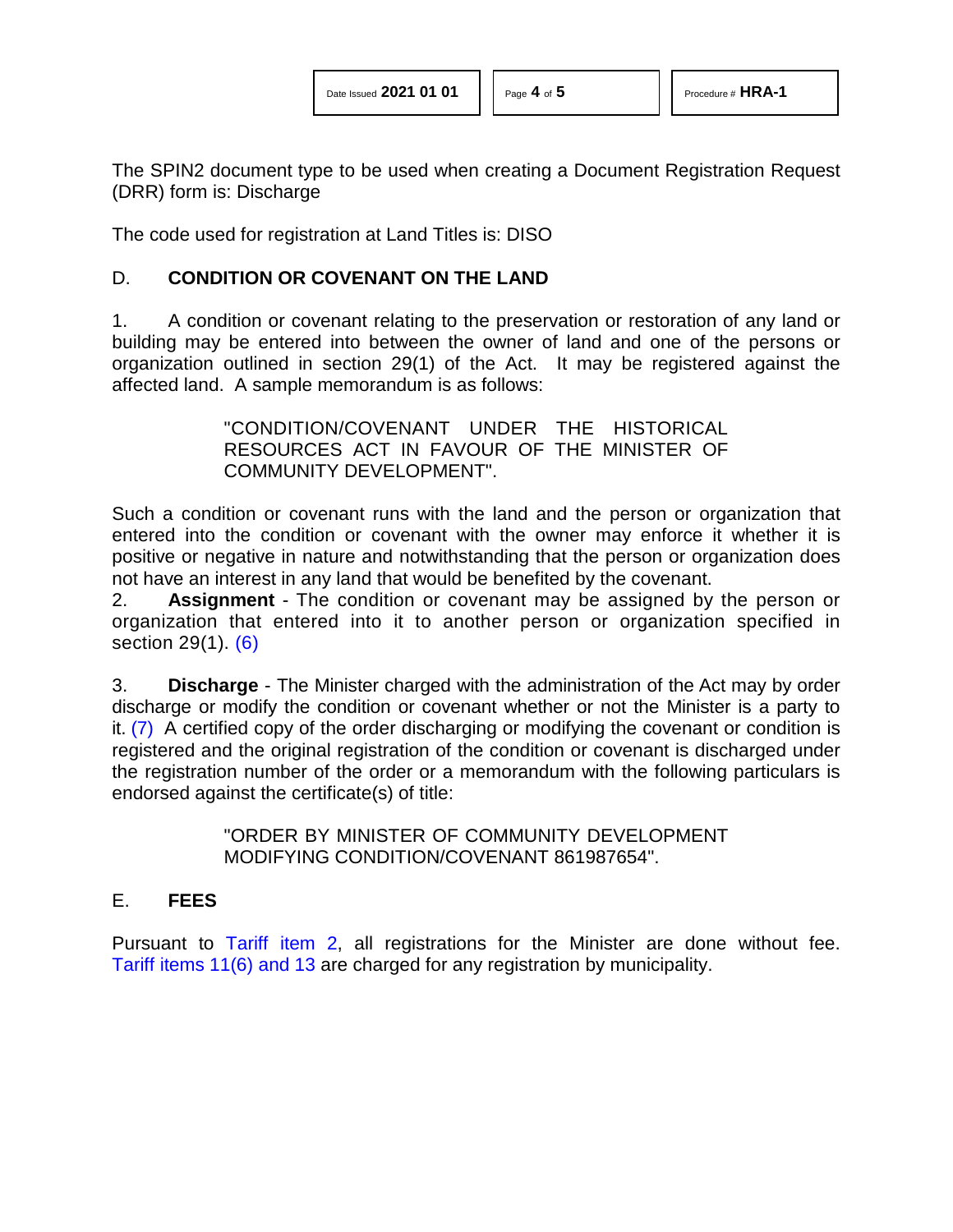The SPIN2 document type to be used when creating a Document Registration Request (DRR) form is: Discharge

The code used for registration at Land Titles is: DISO

#### D. **CONDITION OR COVENANT ON THE LAND**

1. A condition or covenant relating to the preservation or restoration of any land or building may be entered into between the owner of land and one of the persons or organization outlined in section 29(1) of the Act. It may be registered against the affected land. A sample memorandum is as follows:

> "CONDITION/COVENANT UNDER THE HISTORICAL RESOURCES ACT IN FAVOUR OF THE MINISTER OF COMMUNITY DEVELOPMENT".

Such a condition or covenant runs with the land and the person or organization that entered into the condition or covenant with the owner may enforce it whether it is positive or negative in nature and notwithstanding that the person or organization does not have an interest in any land that would be benefited by the covenant.

<span id="page-3-0"></span>2. **Assignment** - The condition or covenant may be assigned by the person or organization that entered into it to another person or organization specified in section 29(1). [\(6\)](#page-4-5)

<span id="page-3-1"></span>3. **Discharge** - The Minister charged with the administration of the Act may by order discharge or modify the condition or covenant whether or not the Minister is a party to it. [\(7\)](#page-4-6) A certified copy of the order discharging or modifying the covenant or condition is registered and the original registration of the condition or covenant is discharged under the registration number of the order or a memorandum with the following particulars is endorsed against the certificate(s) of title:

> "ORDER BY MINISTER OF COMMUNITY DEVELOPMENT MODIFYING CONDITION/COVENANT 861987654".

#### E. **FEES**

Pursuant to [Tariff item 2,](http://www.servicealberta.ca/pdf/ltmanual/APPENDIXI.pdf) all registrations for the Minister are done without fee. Tariff [items 11\(6\) and 13](http://www.servicealberta.ca/pdf/ltmanual/APPENDIXI.pdf) are charged for any registration by municipality.